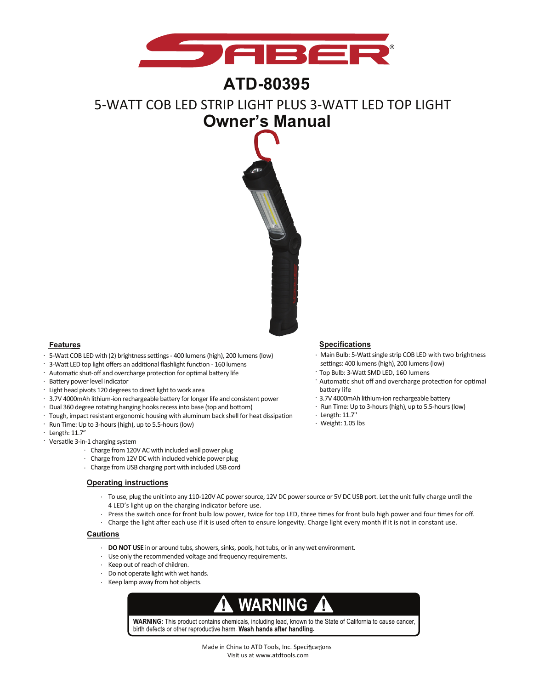

## **ATD-80395**

# **Owner's Manual** 5-WATT COB LED STRIP LIGHT PLUS 3-WATT LED TOP LIGHT



- · 5-Watt COB LED with (2) brightness settings 400 lumens (high), 200 lumens (low)
- · 3-Watt LED top light offers an additional flashlight function 160 lumens
- · Automatic shut-off and overcharge protection for optimal battery life
- · Battery power level indicator
- · Light head pivots 120 degrees to direct light to work area
- · 3.7V 4000mAh lithium-ion rechargeable battery for longer life and consistent power
- · Dual 360 degree rotating hanging hooks recess into base (top and bottom)
- · Tough, impact resistant ergonomic housing with aluminum back shell for heat dissipation
- · Run Time: Up to 3-hours (high), up to 5.5-hours (low)
- · Length: 11.7"
- · Versatile 3-in-1 charging system
	- · Charge from 120V AC with included wall power plug
	- · Charge from 12V DC with included vehicle power plug
	- · Charge from USB charging port with included USB cord

### **Operating instructions**

- · To use, plug the unit into any 110-120V AC power source, 12V DC power source or 5V DC USB port. Let the unit fully charge until the 4 LED's light up on the charging indicator before use.
- Press the switch once for front bulb low power, twice for top LED, three times for front bulb high power and four times for off. ·
- Charge the light after each use if it is used often to ensure longevity. Charge light every month if it is not in constant use. ·

#### **Cautions**

- · **DO NOT USE** in or around tubs, showers, sinks, pools, hot tubs, or in any wet environment.
- · Use only the recommended voltage and frequency requirements.
- · Keep out of reach of children.
- · Do not operate light with wet hands.
- · Keep lamp away from hot objects.

### WARNI NG

WARNING: This product contains chemicals, including lead, known to the State of California to cause cancer, birth defects or other reproductive harm. Wash hands after handling.

#### **Features Specifications**

- · Main Bulb: 5-Watt single strip COB LED with two brightness settings: 400 lumens (high), 200 lumens (low)
- · Top Bulb: 3-Watt SMD LED, 160 lumens
- · Automatic shut off and overcharge protection for optimal battery life
- · 3.7V 4000mAh lithium-ion rechargeable battery
- · Run Time: Up to 3-hours (high), up to 5.5-hours (low)
- · Length: 11.7''
- · Weight: 1.05 lbs